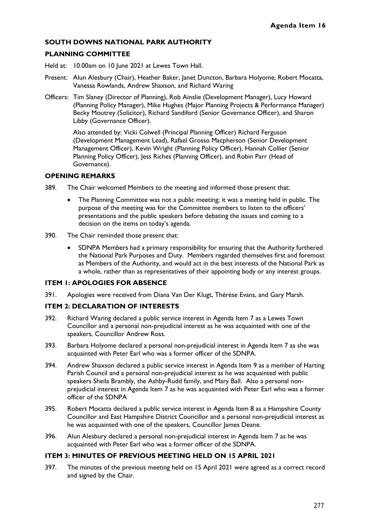### **SOUTH DOWNS NATIONAL PARK AUTHORITY**

### **PLANNING COMMITTEE**

Held at: 10.00am on 10 June 2021 at Lewes Town Hall.

- Present: Alun Alesbury (Chair), Heather Baker, Janet Duncton, Barbara Holyome, Robert Mocatta, Vanessa Rowlands, Andrew Shaxson, and Richard Waring
- Officers: Tim Slaney (Director of Planning), Rob Ainslie (Development Manager), Lucy Howard (Planning Policy Manager), Mike Hughes (Major Planning Projects & Performance Manager) Becky Moutrey (Solicitor), Richard Sandiford (Senior Governance Officer), and Sharon Libby (Governance Officer).

Also attended by: Vicki Colwell (Principal Planning Officer) Richard Ferguson (Development Management Lead), Rafael Grosso Macpherson (Senior Development Management Officer), Kevin Wright (Planning Policy Officer), Hannah Collier (Senior Planning Policy Officer), Jess Riches (Planning Officer), and Robin Parr (Head of Governance).

### **OPENING REMARKS**

- 389. The Chair welcomed Members to the meeting and informed those present that:
	- The Planning Committee was not a public meeting; it was a meeting held in public. The purpose of the meeting was for the Committee members to listen to the officers' presentations and the public speakers before debating the issues and coming to a decision on the items on today's agenda.
- 390. The Chair reminded those present that:
	- SDNPA Members had a primary responsibility for ensuring that the Authority furthered the National Park Purposes and Duty. Members regarded themselves first and foremost as Members of the Authority, and would act in the best interests of the National Park as a whole, rather than as representatives of their appointing body or any interest groups.

#### **ITEM 1: APOLOGIES FOR ABSENCE**

391. Apologies were received from Diana Van Der Klugt, Thérèse Evans, and Gary Marsh.

### **ITEM 2: DECLARATION OF INTERESTS**

- 392. Richard Waring declared a public service interest in Agenda Item 7 as a Lewes Town Councillor and a personal non-prejudicial interest as he was acquainted with one of the speakers, Councillor Andrew Ross.
- 393. Barbara Holyome declared a personal non-prejudicial interest in Agenda Item 7 as she was acquainted with Peter Earl who was a former officer of the SDNPA.
- 394. Andrew Shaxson declared a public service interest in Agenda Item 9 as a member of Harting Parish Council and a personal non-prejudicial interest as he was acquainted with public speakers Sheila Brambly, the Ashby-Rudd family, and Mary Ball. Also a personal nonprejudicial interest in Agenda Item 7 as he was acquainted with Peter Earl who was a former officer of the SDNPA
- 395. Robert Mocatta declared a public service interest in Agenda Item 8 as a Hampshire County Councillor and East Hampshire District Councillor and a personal non-prejudicial interest as he was acquainted with one of the speakers, Councillor James Deane.
- 396. Alun Alesbury declared a personal non-prejudicial interest in Agenda Item 7 as he was acquainted with Peter Earl who was a former officer of the SDNPA.

### **ITEM 3: MINUTES OF PREVIOUS MEETING HELD ON 15 APRIL 2021**

397. The minutes of the previous meeting held on 15 April 2021 were agreed as a correct record and signed by the Chair.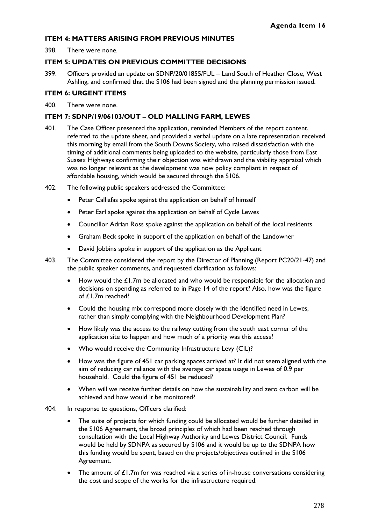### **ITEM 4: MATTERS ARISING FROM PREVIOUS MINUTES**

398. There were none.

### **ITEM 5: UPDATES ON PREVIOUS COMMITTEE DECISIONS**

399. Officers provided an update on SDNP/20/01855/FUL – Land South of Heather Close, West Ashling, and confirmed that the S106 had been signed and the planning permission issued.

### **ITEM 6: URGENT ITEMS**

400. There were none.

### **ITEM 7: SDNP/19/06103/OUT – OLD MALLING FARM, LEWES**

- 401. The Case Officer presented the application, reminded Members of the report content, referred to the update sheet, and provided a verbal update on a late representation received this morning by email from the South Downs Society, who raised dissatisfaction with the timing of additional comments being uploaded to the website, particularly those from East Sussex Highways confirming their objection was withdrawn and the viability appraisal which was no longer relevant as the development was now policy compliant in respect of affordable housing, which would be secured through the S106.
- 402. The following public speakers addressed the Committee:
	- Peter Calliafas spoke against the application on behalf of himself
	- Peter Earl spoke against the application on behalf of Cycle Lewes
	- Councillor Adrian Ross spoke against the application on behalf of the local residents
	- Graham Beck spoke in support of the application on behalf of the Landowner
	- David Jobbins spoke in support of the application as the Applicant
- 403. The Committee considered the report by the Director of Planning (Report PC20/21-47) and the public speaker comments, and requested clarification as follows:
	- How would the £1.7m be allocated and who would be responsible for the allocation and decisions on spending as referred to in Page 14 of the report? Also, how was the figure of £1.7m reached?
	- Could the housing mix correspond more closely with the identified need in Lewes, rather than simply complying with the Neighbourhood Development Plan?
	- How likely was the access to the railway cutting from the south east corner of the application site to happen and how much of a priority was this access?
	- Who would receive the Community Infrastructure Levy (CIL)?
	- How was the figure of 451 car parking spaces arrived at? It did not seem aligned with the aim of reducing car reliance with the average car space usage in Lewes of 0.9 per household. Could the figure of 451 be reduced?
	- When will we receive further details on how the sustainability and zero carbon will be achieved and how would it be monitored?
- 404. In response to questions, Officers clarified:
	- The suite of projects for which funding could be allocated would be further detailed in the S106 Agreement, the broad principles of which had been reached through consultation with the Local Highway Authority and Lewes District Council. Funds would be held by SDNPA as secured by S106 and it would be up to the SDNPA how this funding would be spent, based on the projects/objectives outlined in the S106 Agreement.
	- The amount of  $£1.7m$  for was reached via a series of in-house conversations considering the cost and scope of the works for the infrastructure required.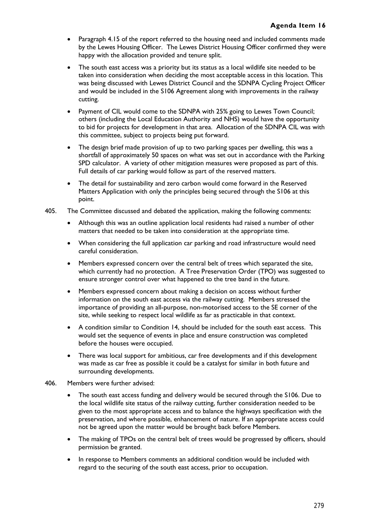- Paragraph 4.15 of the report referred to the housing need and included comments made by the Lewes Housing Officer. The Lewes District Housing Officer confirmed they were happy with the allocation provided and tenure split.
- The south east access was a priority but its status as a local wildlife site needed to be taken into consideration when deciding the most acceptable access in this location. This was being discussed with Lewes District Council and the SDNPA Cycling Project Officer and would be included in the S106 Agreement along with improvements in the railway cutting.
- Payment of CIL would come to the SDNPA with 25% going to Lewes Town Council; others (including the Local Education Authority and NHS) would have the opportunity to bid for projects for development in that area. Allocation of the SDNPA CIL was with this committee, subject to projects being put forward.
- The design brief made provision of up to two parking spaces per dwelling, this was a shortfall of approximately 50 spaces on what was set out in accordance with the Parking SPD calculator. A variety of other mitigation measures were proposed as part of this. Full details of car parking would follow as part of the reserved matters.
- The detail for sustainability and zero carbon would come forward in the Reserved Matters Application with only the principles being secured through the S106 at this point.
- 405. The Committee discussed and debated the application, making the following comments:
	- Although this was an outline application local residents had raised a number of other matters that needed to be taken into consideration at the appropriate time.
	- When considering the full application car parking and road infrastructure would need careful consideration.
	- Members expressed concern over the central belt of trees which separated the site, which currently had no protection. A Tree Preservation Order (TPO) was suggested to ensure stronger control over what happened to the tree band in the future.
	- Members expressed concern about making a decision on access without further information on the south east access via the railway cutting. Members stressed the importance of providing an all-purpose, non-motorised access to the SE corner of the site, while seeking to respect local wildlife as far as practicable in that context.
	- A condition similar to Condition 14, should be included for the south east access. This would set the sequence of events in place and ensure construction was completed before the houses were occupied.
	- There was local support for ambitious, car free developments and if this development was made as car free as possible it could be a catalyst for similar in both future and surrounding developments.
- 406. Members were further advised:
	- The south east access funding and delivery would be secured through the S106. Due to the local wildlife site status of the railway cutting, further consideration needed to be given to the most appropriate access and to balance the highways specification with the preservation, and where possible, enhancement of nature. If an appropriate access could not be agreed upon the matter would be brought back before Members.
	- The making of TPOs on the central belt of trees would be progressed by officers, should permission be granted.
	- In response to Members comments an additional condition would be included with regard to the securing of the south east access, prior to occupation.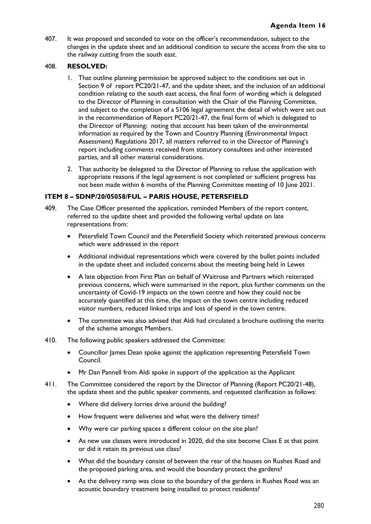407. It was proposed and seconded to vote on the officer's recommendation, subject to the changes in the update sheet and an additional condition to secure the access from the site to the railway cutting from the south east.

### 408. **RESOLVED:**

- 1. That outline planning permission be approved subject to the conditions set out in Section 9 of report PC20/21-47, and the update sheet, and the inclusion of an additional condition relating to the south east access, the final form of wording which is delegated to the Director of Planning in consultation with the Chair of the Planning Committee, and subject to the completion of a S106 legal agreement the detail of which were set out in the recommendation of Report PC20/21-47, the final form of which is delegated to the Director of Planning; noting that account has been taken of the environmental information as required by the Town and Country Planning (Environmental Impact Assessment) Regulations 2017, all matters referred to in the Director of Planning's report including comments received from statutory consultees and other interested parties, and all other material considerations.
- 2. That authority be delegated to the Director of Planning to refuse the application with appropriate reasons if the legal agreement is not completed or sufficient progress has not been made within 6 months of the Planning Committee meeting of 10 June 2021.

### **ITEM 8 – SDNP/20/05058/FUL – PARIS HOUSE, PETERSFIELD**

- 409. The Case Officer presented the application, reminded Members of the report content, referred to the update sheet and provided the following verbal update on late representations from:
	- Petersfield Town Council and the Petersfield Society which reiterated previous concerns which were addressed in the report
	- Additional individual representations which were covered by the bullet points included in the update sheet and included concerns about the meeting being held in Lewes
	- A late objection from First Plan on behalf of Waitrose and Partners which reiterated previous concerns, which were summarised in the report, plus further comments on the uncertainty of Covid-19 impacts on the town centre and how they could not be accurately quantified at this time, the impact on the town centre including reduced visitor numbers, reduced linked trips and loss of spend in the town centre.
	- The committee was also advised that Aldi had circulated a brochure outlining the merits of the scheme amongst Members.
- 410. The following public speakers addressed the Committee:
	- Councillor James Dean spoke against the application representing Petersfield Town Council.
	- Mr Dan Pannell from Aldi spoke in support of the application as the Applicant
- 411. The Committee considered the report by the Director of Planning (Report PC20/21-48), the update sheet and the public speaker comments, and requested clarification as follows:
	- Where did delivery lorries drive around the building?
	- How frequent were deliveries and what were the delivery times?
	- Why were car parking spaces a different colour on the site plan?
	- As new use classes were introduced in 2020, did the site become Class E at that point or did it retain its previous use class?
	- What did the boundary consist of between the rear of the houses on Rushes Road and the proposed parking area, and would the boundary protect the gardens?
	- As the delivery ramp was close to the boundary of the gardens in Rushes Road was an acoustic boundary treatment being installed to protect residents?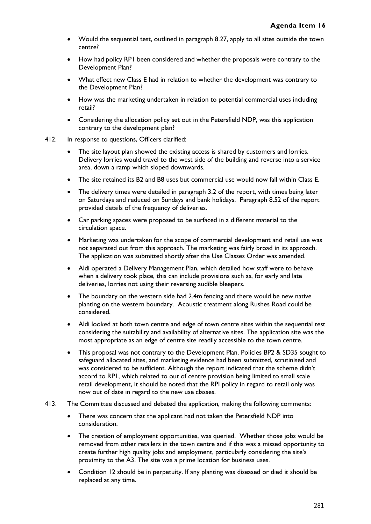- Would the sequential test, outlined in paragraph 8.27, apply to all sites outside the town centre?
- How had policy RP1 been considered and whether the proposals were contrary to the Development Plan?
- What effect new Class E had in relation to whether the development was contrary to the Development Plan?
- How was the marketing undertaken in relation to potential commercial uses including retail?
- Considering the allocation policy set out in the Petersfield NDP, was this application contrary to the development plan?
- 412. In response to questions, Officers clarified:
	- The site layout plan showed the existing access is shared by customers and lorries. Delivery lorries would travel to the west side of the building and reverse into a service area, down a ramp which sloped downwards.
	- The site retained its B2 and B8 uses but commercial use would now fall within Class E.
	- The delivery times were detailed in paragraph 3.2 of the report, with times being later on Saturdays and reduced on Sundays and bank holidays. Paragraph 8.52 of the report provided details of the frequency of deliveries.
	- Car parking spaces were proposed to be surfaced in a different material to the circulation space.
	- Marketing was undertaken for the scope of commercial development and retail use was not separated out from this approach. The marketing was fairly broad in its approach. The application was submitted shortly after the Use Classes Order was amended.
	- Aldi operated a Delivery Management Plan, which detailed how staff were to behave when a delivery took place, this can include provisions such as, for early and late deliveries, lorries not using their reversing audible bleepers.
	- The boundary on the western side had 2.4m fencing and there would be new native planting on the western boundary. Acoustic treatment along Rushes Road could be considered.
	- Aldi looked at both town centre and edge of town centre sites within the sequential test considering the suitability and availability of alternative sites. The application site was the most appropriate as an edge of centre site readily accessible to the town centre.
	- This proposal was not contrary to the Development Plan. Policies BP2 & SD35 sought to safeguard allocated sites, and marketing evidence had been submitted, scrutinised and was considered to be sufficient. Although the report indicated that the scheme didn't accord to RP1, which related to out of centre provision being limited to small scale retail development, it should be noted that the RPI policy in regard to retail only was now out of date in regard to the new use classes.
- 413. The Committee discussed and debated the application, making the following comments:
	- There was concern that the applicant had not taken the Petersfield NDP into consideration.
	- The creation of employment opportunities, was queried. Whether those jobs would be removed from other retailers in the town centre and if this was a missed opportunity to create further high quality jobs and employment, particularly considering the site's proximity to the A3. The site was a prime location for business uses.
	- Condition 12 should be in perpetuity. If any planting was diseased or died it should be replaced at any time.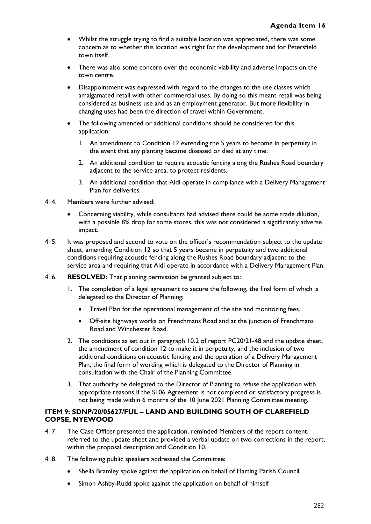- Whilst the struggle trying to find a suitable location was appreciated, there was some concern as to whether this location was right for the development and for Petersfield town itself.
- There was also some concern over the economic viability and adverse impacts on the town centre.
- Disappointment was expressed with regard to the changes to the use classes which amalgamated retail with other commercial uses. By doing so this meant retail was being considered as business use and as an employment generator. But more flexibility in changing uses had been the direction of travel within Government.
- The following amended or additional conditions should be considered for this application:
	- 1. An amendment to Condition 12 extending the 5 years to become in perpetuity in the event that any planting became diseased or died at any time.
	- 2. An additional condition to require acoustic fencing along the Rushes Road boundary adjacent to the service area, to protect residents.
	- 3. An additional condition that Aldi operate in compliance with a Delivery Management Plan for deliveries.
- 414. Members were further advised:
	- Concerning viability, while consultants had advised there could be some trade dilution, with a possible 8% drop for some stores, this was not considered a significantly adverse impact.
- 415. It was proposed and second to vote on the officer's recommendation subject to the update sheet, amending Condition 12 so that 5 years became in perpetuity and two additional conditions requiring acoustic fencing along the Rushes Road boundary adjacent to the service area and requiring that Aldi operate in accordance with a Delivery Management Plan.
- 416. **RESOLVED:** That planning permission be granted subject to:
	- 1. The completion of a legal agreement to secure the following, the final form of which is delegated to the Director of Planning:
		- Travel Plan for the operational management of the site and monitoring fees.
		- Off-site highways works on Frenchmans Road and at the junction of Frenchmans Road and Winchester Road.
	- 2. The conditions as set out in paragraph 10.2 of report PC20/21-48 and the update sheet, the amendment of condition 12 to make it in perpetuity, and the inclusion of two additional conditions on acoustic fencing and the operation of a Delivery Management Plan, the final form of wording which is delegated to the Director of Planning in consultation with the Chair of the Planning Committee.
	- 3. That authority be delegated to the Director of Planning to refuse the application with appropriate reasons if the S106 Agreement is not completed or satisfactory progress is not being made within 6 months of the 10 June 2021 Planning Committee meeting.

### **ITEM 9: SDNP/20/05627/FUL – LAND AND BUILDING SOUTH OF CLAREFIELD COPSE, NYEWOOD**

- 417. The Case Officer presented the application, reminded Members of the report content, referred to the update sheet and provided a verbal update on two corrections in the report, within the proposal description and Condition 10.
- 418. The following public speakers addressed the Committee:
	- Sheila Bramley spoke against the application on behalf of Harting Parish Council
	- Simon Ashby-Rudd spoke against the application on behalf of himself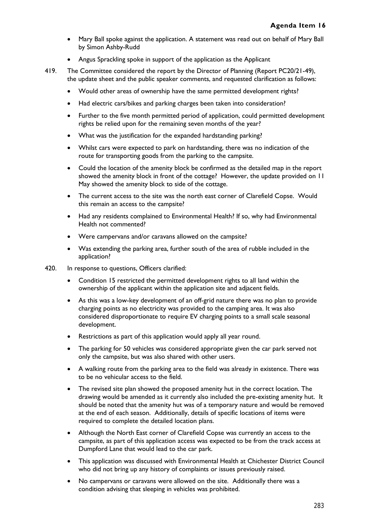- Mary Ball spoke against the application. A statement was read out on behalf of Mary Ball by Simon Ashby-Rudd
- Angus Sprackling spoke in support of the application as the Applicant
- 419. The Committee considered the report by the Director of Planning (Report PC20/21-49), the update sheet and the public speaker comments, and requested clarification as follows:
	- Would other areas of ownership have the same permitted development rights?
	- Had electric cars/bikes and parking charges been taken into consideration?
	- Further to the five month permitted period of application, could permitted development rights be relied upon for the remaining seven months of the year?
	- What was the justification for the expanded hardstanding parking?
	- Whilst cars were expected to park on hardstanding, there was no indication of the route for transporting goods from the parking to the campsite.
	- Could the location of the amenity block be confirmed as the detailed map in the report showed the amenity block in front of the cottage? However, the update provided on 11 May showed the amenity block to side of the cottage.
	- The current access to the site was the north east corner of Clarefield Copse. Would this remain an access to the campsite?
	- Had any residents complained to Environmental Health? If so, why had Environmental Health not commented?
	- Were campervans and/or caravans allowed on the campsite?
	- Was extending the parking area, further south of the area of rubble included in the application?
- 420. In response to questions, Officers clarified:
	- Condition 15 restricted the permitted development rights to all land within the ownership of the applicant within the application site and adjacent fields.
	- As this was a low-key development of an off-grid nature there was no plan to provide charging points as no electricity was provided to the camping area. It was also considered disproportionate to require EV charging points to a small scale seasonal development.
	- Restrictions as part of this application would apply all year round.
	- The parking for 50 vehicles was considered appropriate given the car park served not only the campsite, but was also shared with other users.
	- A walking route from the parking area to the field was already in existence. There was to be no vehicular access to the field.
	- The revised site plan showed the proposed amenity hut in the correct location. The drawing would be amended as it currently also included the pre-existing amenity hut. It should be noted that the amenity hut was of a temporary nature and would be removed at the end of each season. Additionally, details of specific locations of items were required to complete the detailed location plans.
	- Although the North East corner of Clarefield Copse was currently an access to the campsite, as part of this application access was expected to be from the track access at Dumpford Lane that would lead to the car park.
	- This application was discussed with Environmental Health at Chichester District Council who did not bring up any history of complaints or issues previously raised.
	- No campervans or caravans were allowed on the site. Additionally there was a condition advising that sleeping in vehicles was prohibited.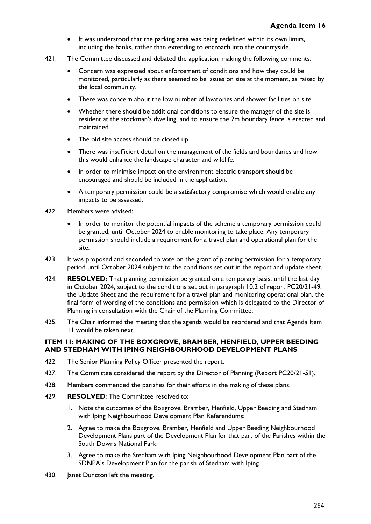- It was understood that the parking area was being redefined within its own limits, including the banks, rather than extending to encroach into the countryside.
- 421. The Committee discussed and debated the application, making the following comments.
	- Concern was expressed about enforcement of conditions and how they could be monitored, particularly as there seemed to be issues on site at the moment, as raised by the local community.
	- There was concern about the low number of lavatories and shower facilities on site.
	- Whether there should be additional conditions to ensure the manager of the site is resident at the stockman's dwelling, and to ensure the 2m boundary fence is erected and maintained.
	- The old site access should be closed up.
	- There was insufficient detail on the management of the fields and boundaries and how this would enhance the landscape character and wildlife.
	- In order to minimise impact on the environment electric transport should be encouraged and should be included in the application.
	- A temporary permission could be a satisfactory compromise which would enable any impacts to be assessed.
- 422. Members were advised:
	- In order to monitor the potential impacts of the scheme a temporary permission could be granted, until October 2024 to enable monitoring to take place. Any temporary permission should include a requirement for a travel plan and operational plan for the site.
- 423. It was proposed and seconded to vote on the grant of planning permission for a temporary period until October 2024 subject to the conditions set out in the report and update sheet..
- 424. **RESOLVED:** That planning permission be granted on a temporary basis, until the last day in October 2024, subject to the conditions set out in paragraph 10.2 of report PC20/21-49, the Update Sheet and the requirement for a travel plan and monitoring operational plan, the final form of wording of the conditions and permission which is delegated to the Director of Planning in consultation with the Chair of the Planning Committee.
- 425. The Chair informed the meeting that the agenda would be reordered and that Agenda Item 11 would be taken next.

### **ITEM 11: MAKING OF THE BOXGROVE, BRAMBER, HENFIELD, UPPER BEEDING AND STEDHAM WITH IPING NEIGHBOURHOOD DEVELOPMENT PLANS**

- 422. The Senior Planning Policy Officer presented the report.
- 427. The Committee considered the report by the Director of Planning (Report PC20/21-51).
- 428. Members commended the parishes for their efforts in the making of these plans.
- 429. **RESOLVED**: The Committee resolved to:
	- 1. Note the outcomes of the Boxgrove, Bramber, Henfield, Upper Beeding and Stedham with Iping Neighbourhood Development Plan Referendums;
	- 2. Agree to make the Boxgrove, Bramber, Henfield and Upper Beeding Neighbourhood Development Plans part of the Development Plan for that part of the Parishes within the South Downs National Park.
	- 3. Agree to make the Stedham with Iping Neighbourhood Development Plan part of the SDNPA's Development Plan for the parish of Stedham with Iping.
- 430. Janet Duncton left the meeting.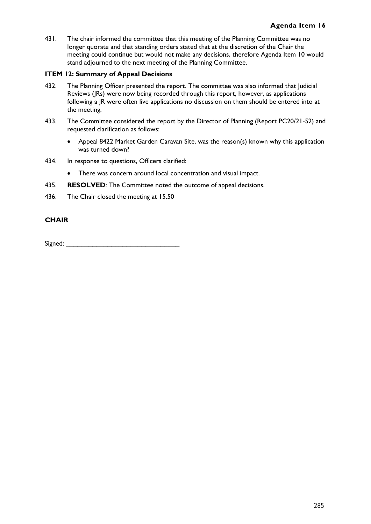431. The chair informed the committee that this meeting of the Planning Committee was no longer quorate and that standing orders stated that at the discretion of the Chair the meeting could continue but would not make any decisions, therefore Agenda Item 10 would stand adjourned to the next meeting of the Planning Committee.

### **ITEM 12: Summary of Appeal Decisions**

- 432. The Planning Officer presented the report. The committee was also informed that Judicial Reviews (JRs) were now being recorded through this report, however, as applications following a JR were often live applications no discussion on them should be entered into at the meeting.
- 433. The Committee considered the report by the Director of Planning (Report PC20/21-52) and requested clarification as follows:
	- Appeal 8422 Market Garden Caravan Site, was the reason(s) known why this application was turned down?
- 434. In response to questions, Officers clarified:
	- There was concern around local concentration and visual impact.
- 435. **RESOLVED**: The Committee noted the outcome of appeal decisions.
- 436. The Chair closed the meeting at 15.50

### **CHAIR**

Signed: \_\_\_\_\_\_\_\_\_\_\_\_\_\_\_\_\_\_\_\_\_\_\_\_\_\_\_\_\_\_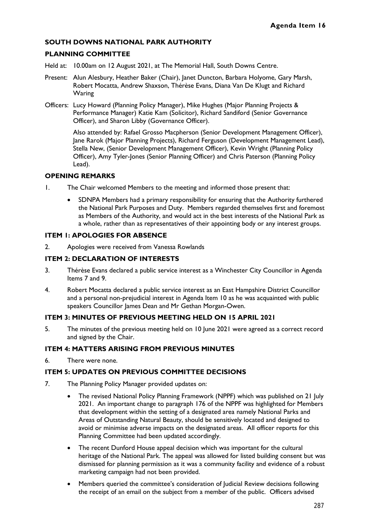# **SOUTH DOWNS NATIONAL PARK AUTHORITY**

# **PLANNING COMMITTEE**

- Held at: 10.00am on 12 August 2021, at The Memorial Hall, South Downs Centre.
- Present: Alun Alesbury, Heather Baker (Chair), Janet Duncton, Barbara Holyome, Gary Marsh, Robert Mocatta, Andrew Shaxson, Thérèse Evans, Diana Van De Klugt and Richard Waring
- Officers: Lucy Howard (Planning Policy Manager), Mike Hughes (Major Planning Projects & Performance Manager) Katie Kam (Solicitor), Richard Sandiford (Senior Governance Officer), and Sharon Libby (Governance Officer).

Also attended by: Rafael Grosso Macpherson (Senior Development Management Officer), Jane Rarok (Major Planning Projects), Richard Ferguson (Development Management Lead), Stella New, (Senior Development Management Officer), Kevin Wright (Planning Policy Officer), Amy Tyler-Jones (Senior Planning Officer) and Chris Paterson (Planning Policy Lead).

### **OPENING REMARKS**

- 1. The Chair welcomed Members to the meeting and informed those present that:
	- SDNPA Members had a primary responsibility for ensuring that the Authority furthered the National Park Purposes and Duty. Members regarded themselves first and foremost as Members of the Authority, and would act in the best interests of the National Park as a whole, rather than as representatives of their appointing body or any interest groups.

# **ITEM 1: APOLOGIES FOR ABSENCE**

2. Apologies were received from Vanessa Rowlands

# **ITEM 2: DECLARATION OF INTERESTS**

- 3. Thérèse Evans declared a public service interest as a Winchester City Councillor in Agenda Items 7 and 9.
- 4. Robert Mocatta declared a public service interest as an East Hampshire District Councillor and a personal non-prejudicial interest in Agenda Item 10 as he was acquainted with public speakers Councillor James Dean and Mr Gethan Morgan-Owen.

# **ITEM 3: MINUTES OF PREVIOUS MEETING HELD ON 15 APRIL 2021**

5. The minutes of the previous meeting held on 10 June 2021 were agreed as a correct record and signed by the Chair.

### **ITEM 4: MATTERS ARISING FROM PREVIOUS MINUTES**

6. There were none.

### **ITEM 5: UPDATES ON PREVIOUS COMMITTEE DECISIONS**

- 7. The Planning Policy Manager provided updates on:
	- The revised National Policy Planning Framework (NPPF) which was published on 21 July 2021. An important change to paragraph 176 of the NPPF was highlighted for Members that development within the setting of a designated area namely National Parks and Areas of Outstanding Natural Beauty, should be sensitively located and designed to avoid or minimise adverse impacts on the designated areas. All officer reports for this Planning Committee had been updated accordingly.
	- The recent Dunford House appeal decision which was important for the cultural heritage of the National Park. The appeal was allowed for listed building consent but was dismissed for planning permission as it was a community facility and evidence of a robust marketing campaign had not been provided.
	- Members queried the committee's consideration of Judicial Review decisions following the receipt of an email on the subject from a member of the public. Officers advised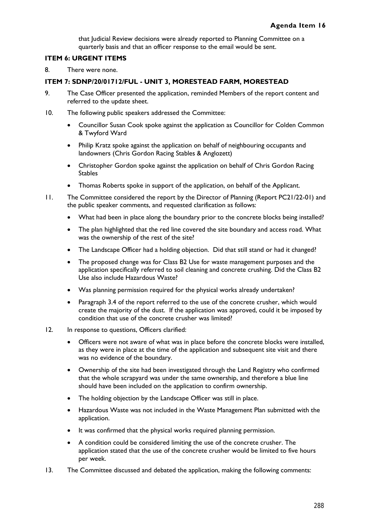that Judicial Review decisions were already reported to Planning Committee on a quarterly basis and that an officer response to the email would be sent.

### **ITEM 6: URGENT ITEMS**

8. There were none.

### **ITEM 7: SDNP/20/01712/FUL - UNIT 3, MORESTEAD FARM, MORESTEAD**

- 9. The Case Officer presented the application, reminded Members of the report content and referred to the update sheet.
- 10. The following public speakers addressed the Committee:
	- Councillor Susan Cook spoke against the application as Councillor for Colden Common & Twyford Ward
	- Philip Kratz spoke against the application on behalf of neighbouring occupants and landowners (Chris Gordon Racing Stables & Anglozett)
	- Christopher Gordon spoke against the application on behalf of Chris Gordon Racing Stables
	- Thomas Roberts spoke in support of the application, on behalf of the Applicant.
- 11. The Committee considered the report by the Director of Planning (Report PC21/22-01) and the public speaker comments, and requested clarification as follows:
	- What had been in place along the boundary prior to the concrete blocks being installed?
	- The plan highlighted that the red line covered the site boundary and access road. What was the ownership of the rest of the site?
	- The Landscape Officer had a holding objection. Did that still stand or had it changed?
	- The proposed change was for Class B2 Use for waste management purposes and the application specifically referred to soil cleaning and concrete crushing. Did the Class B2 Use also include Hazardous Waste?
	- Was planning permission required for the physical works already undertaken?
	- Paragraph 3.4 of the report referred to the use of the concrete crusher, which would create the majority of the dust. If the application was approved, could it be imposed by condition that use of the concrete crusher was limited?
- 12. In response to questions, Officers clarified:
	- Officers were not aware of what was in place before the concrete blocks were installed, as they were in place at the time of the application and subsequent site visit and there was no evidence of the boundary.
	- Ownership of the site had been investigated through the Land Registry who confirmed that the whole scrapyard was under the same ownership, and therefore a blue line should have been included on the application to confirm ownership.
	- The holding objection by the Landscape Officer was still in place.
	- Hazardous Waste was not included in the Waste Management Plan submitted with the application.
	- It was confirmed that the physical works required planning permission.
	- A condition could be considered limiting the use of the concrete crusher. The application stated that the use of the concrete crusher would be limited to five hours per week.
- 13. The Committee discussed and debated the application, making the following comments: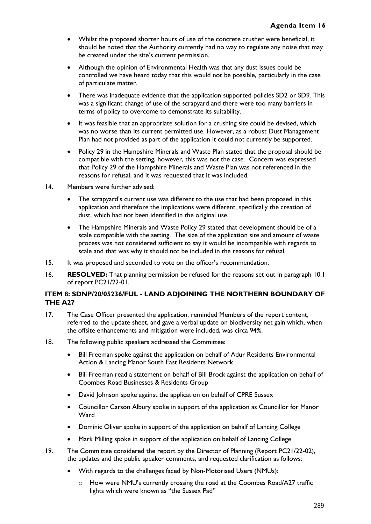- Whilst the proposed shorter hours of use of the concrete crusher were beneficial, it should be noted that the Authority currently had no way to regulate any noise that may be created under the site's current permission.
- Although the opinion of Environmental Health was that any dust issues could be controlled we have heard today that this would not be possible, particularly in the case of particulate matter.
- There was inadequate evidence that the application supported policies SD2 or SD9. This was a significant change of use of the scrapyard and there were too many barriers in terms of policy to overcome to demonstrate its suitability.
- It was feasible that an appropriate solution for a crushing site could be devised, which was no worse than its current permitted use. However, as a robust Dust Management Plan had not provided as part of the application it could not currently be supported.
- Policy 29 in the Hampshire Minerals and Waste Plan stated that the proposal should be compatible with the setting, however, this was not the case. Concern was expressed that Policy 29 of the Hampshire Minerals and Waste Plan was not referenced in the reasons for refusal, and it was requested that it was included.
- 14. Members were further advised:
	- The scrapyard's current use was different to the use that had been proposed in this application and therefore the implications were different, specifically the creation of dust, which had not been identified in the original use.
	- The Hampshire Minerals and Waste Policy 29 stated that development should be of a scale compatible with the setting. The size of the application site and amount of waste process was not considered sufficient to say it would be incompatible with regards to scale and that was why it should not be included in the reasons for refusal.
- 15. It was proposed and seconded to vote on the officer's recommendation.
- 16. **RESOLVED:** That planning permission be refused for the reasons set out in paragraph 10.1 of report PC21/22-01.

# **ITEM 8: SDNP/20/05236/FUL - LAND ADJOINING THE NORTHERN BOUNDARY OF THE A27**

- 17. The Case Officer presented the application, reminded Members of the report content, referred to the update sheet, and gave a verbal update on biodiversity net gain which, when the offsite enhancements and mitigation were included, was circa 94%.
- 18. The following public speakers addressed the Committee:
	- Bill Freeman spoke against the application on behalf of Adur Residents Environmental Action & Lancing Manor South East Residents Network
	- Bill Freeman read a statement on behalf of Bill Brock against the application on behalf of Coombes Road Businesses & Residents Group
	- David Johnson spoke against the application on behalf of CPRE Sussex
	- Councillor Carson Albury spoke in support of the application as Councillor for Manor **Ward**
	- Dominic Oliver spoke in support of the application on behalf of Lancing College
	- Mark Milling spoke in support of the application on behalf of Lancing College
- 19. The Committee considered the report by the Director of Planning (Report PC21/22-02), the updates and the public speaker comments, and requested clarification as follows:
	- With regards to the challenges faced by Non-Motorised Users (NMUs):
		- $\circ$  How were NMU's currently crossing the road at the Coombes Road/A27 traffic lights which were known as "the Sussex Pad"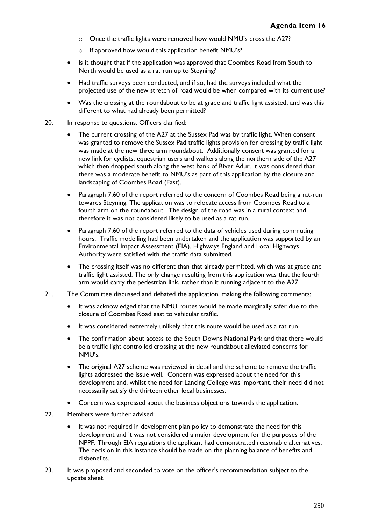- o Once the traffic lights were removed how would NMU's cross the A27?
- o If approved how would this application benefit NMU's?
- Is it thought that if the application was approved that Coombes Road from South to North would be used as a rat run up to Steyning?
- Had traffic surveys been conducted, and if so, had the surveys included what the projected use of the new stretch of road would be when compared with its current use?
- Was the crossing at the roundabout to be at grade and traffic light assisted, and was this different to what had already been permitted?
- 20. In response to questions, Officers clarified:
	- The current crossing of the A27 at the Sussex Pad was by traffic light. When consent was granted to remove the Sussex Pad traffic lights provision for crossing by traffic light was made at the new three arm roundabout. Additionally consent was granted for a new link for cyclists, equestrian users and walkers along the northern side of the A27 which then dropped south along the west bank of River Adur. It was considered that there was a moderate benefit to NMU's as part of this application by the closure and landscaping of Coombes Road (East).
	- Paragraph 7.60 of the report referred to the concern of Coombes Road being a rat-run towards Steyning. The application was to relocate access from Coombes Road to a fourth arm on the roundabout. The design of the road was in a rural context and therefore it was not considered likely to be used as a rat run.
	- Paragraph 7.60 of the report referred to the data of vehicles used during commuting hours. Traffic modelling had been undertaken and the application was supported by an Environmental Impact Assessment (EIA). Highways England and Local Highways Authority were satisfied with the traffic data submitted.
	- The crossing itself was no different than that already permitted, which was at grade and traffic light assisted. The only change resulting from this application was that the fourth arm would carry the pedestrian link, rather than it running adjacent to the A27.
- 21. The Committee discussed and debated the application, making the following comments:
	- It was acknowledged that the NMU routes would be made marginally safer due to the closure of Coombes Road east to vehicular traffic.
	- It was considered extremely unlikely that this route would be used as a rat run.
	- The confirmation about access to the South Downs National Park and that there would be a traffic light controlled crossing at the new roundabout alleviated concerns for NMU's.
	- The original A27 scheme was reviewed in detail and the scheme to remove the traffic lights addressed the issue well. Concern was expressed about the need for this development and, whilst the need for Lancing College was important, their need did not necessarily satisfy the thirteen other local businesses.
	- Concern was expressed about the business objections towards the application.
- 22. Members were further advised:
	- It was not required in development plan policy to demonstrate the need for this development and it was not considered a major development for the purposes of the NPPF. Through EIA regulations the applicant had demonstrated reasonable alternatives. The decision in this instance should be made on the planning balance of benefits and disbenefits..
- 23. It was proposed and seconded to vote on the officer's recommendation subject to the update sheet.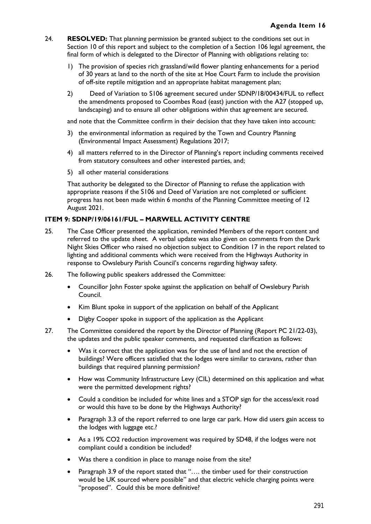- 24. **RESOLVED:** That planning permission be granted subject to the conditions set out in Section 10 of this report and subject to the completion of a Section 106 legal agreement, the final form of which is delegated to the Director of Planning with obligations relating to:
	- 1) The provision of species rich grassland/wild flower planting enhancements for a period of 30 years at land to the north of the site at Hoe Court Farm to include the provision of off-site reptile mitigation and an appropriate habitat management plan;
	- 2) Deed of Variation to S106 agreement secured under SDNP/18/00434/FUL to reflect the amendments proposed to Coombes Road (east) junction with the A27 (stopped up, landscaping) and to ensure all other obligations within that agreement are secured.

and note that the Committee confirm in their decision that they have taken into account:

- 3) the environmental information as required by the Town and Country Planning (Environmental Impact Assessment) Regulations 2017;
- 4) all matters referred to in the Director of Planning's report including comments received from statutory consultees and other interested parties, and;
- 5) all other material considerations

That authority be delegated to the Director of Planning to refuse the application with appropriate reasons if the S106 and Deed of Variation are not completed or sufficient progress has not been made within 6 months of the Planning Committee meeting of 12 August 2021.

### **ITEM 9: SDNP/19/06161/FUL – MARWELL ACTIVITY CENTRE**

- 25. The Case Officer presented the application, reminded Members of the report content and referred to the update sheet. A verbal update was also given on comments from the Dark Night Skies Officer who raised no objection subject to Condition 17 in the report related to lighting and additional comments which were received from the Highways Authority in response to Owslebury Parish Council's concerns regarding highway safety.
- 26. The following public speakers addressed the Committee:
	- Councillor John Foster spoke against the application on behalf of Owslebury Parish Council.
	- Kim Blunt spoke in support of the application on behalf of the Applicant
	- Digby Cooper spoke in support of the application as the Applicant
- 27. The Committee considered the report by the Director of Planning (Report PC 21/22-03), the updates and the public speaker comments, and requested clarification as follows:
	- Was it correct that the application was for the use of land and not the erection of buildings? Were officers satisfied that the lodges were similar to caravans, rather than buildings that required planning permission?
	- How was Community Infrastructure Levy (CIL) determined on this application and what were the permitted development rights?
	- Could a condition be included for white lines and a STOP sign for the access/exit road or would this have to be done by the Highways Authority?
	- Paragraph 3.3 of the report referred to one large car park. How did users gain access to the lodges with luggage etc.?
	- As a 19% CO2 reduction improvement was required by SD48, if the lodges were not compliant could a condition be included?
	- Was there a condition in place to manage noise from the site?
	- Paragraph 3.9 of the report stated that "…. the timber used for their construction would be UK sourced where possible" and that electric vehicle charging points were "proposed". Could this be more definitive?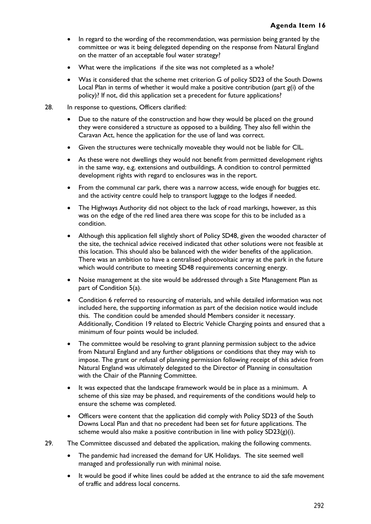- In regard to the wording of the recommendation, was permission being granted by the committee or was it being delegated depending on the response from Natural England on the matter of an acceptable foul water strategy?
- What were the implications if the site was not completed as a whole?
- Was it considered that the scheme met criterion G of policy SD23 of the South Downs Local Plan in terms of whether it would make a positive contribution (part g(i) of the policy)? If not, did this application set a precedent for future applications?
- 28. In response to questions, Officers clarified:
	- Due to the nature of the construction and how they would be placed on the ground they were considered a structure as opposed to a building. They also fell within the Caravan Act, hence the application for the use of land was correct.
	- Given the structures were technically moveable they would not be liable for CIL.
	- As these were not dwellings they would not benefit from permitted development rights in the same way, e.g. extensions and outbuildings. A condition to control permitted development rights with regard to enclosures was in the report.
	- From the communal car park, there was a narrow access, wide enough for buggies etc. and the activity centre could help to transport luggage to the lodges if needed.
	- The Highways Authority did not object to the lack of road markings, however, as this was on the edge of the red lined area there was scope for this to be included as a condition.
	- Although this application fell slightly short of Policy SD48, given the wooded character of the site, the technical advice received indicated that other solutions were not feasible at this location. This should also be balanced with the wider benefits of the application. There was an ambition to have a centralised photovoltaic array at the park in the future which would contribute to meeting SD48 requirements concerning energy.
	- Noise management at the site would be addressed through a Site Management Plan as part of Condition 5(a).
	- Condition 6 referred to resourcing of materials, and while detailed information was not included here, the supporting information as part of the decision notice would include this. The condition could be amended should Members consider it necessary. Additionally, Condition 19 related to Electric Vehicle Charging points and ensured that a minimum of four points would be included.
	- The committee would be resolving to grant planning permission subject to the advice from Natural England and any further obligations or conditions that they may wish to impose. The grant or refusal of planning permission following receipt of this advice from Natural England was ultimately delegated to the Director of Planning in consultation with the Chair of the Planning Committee.
	- It was expected that the landscape framework would be in place as a minimum. A scheme of this size may be phased, and requirements of the conditions would help to ensure the scheme was completed.
	- Officers were content that the application did comply with Policy SD23 of the South Downs Local Plan and that no precedent had been set for future applications. The scheme would also make a positive contribution in line with policy  $SD23(g)(i)$ .
- 29. The Committee discussed and debated the application, making the following comments.
	- The pandemic had increased the demand for UK Holidays. The site seemed well managed and professionally run with minimal noise.
	- It would be good if white lines could be added at the entrance to aid the safe movement of traffic and address local concerns.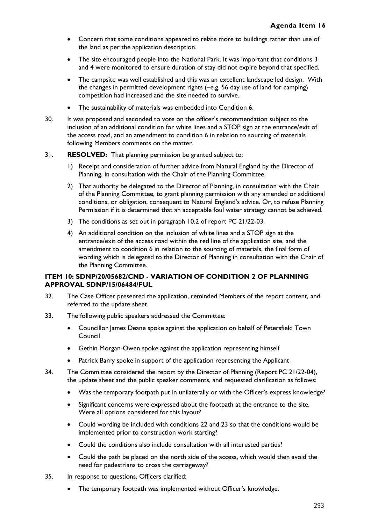- Concern that some conditions appeared to relate more to buildings rather than use of the land as per the application description.
- The site encouraged people into the National Park. It was important that conditions 3 and 4 were monitored to ensure duration of stay did not expire beyond that specified.
- The campsite was well established and this was an excellent landscape led design. With the changes in permitted development rights (–e.g. 56 day use of land for camping) competition had increased and the site needed to survive.
- The sustainability of materials was embedded into Condition 6.
- 30. It was proposed and seconded to vote on the officer's recommendation subject to the inclusion of an additional condition for white lines and a STOP sign at the entrance/exit of the access road, and an amendment to condition 6 in relation to sourcing of materials following Members comments on the matter.
- 31. **RESOLVED:** That planning permission be granted subject to:
	- 1) Receipt and consideration of further advice from Natural England by the Director of Planning, in consultation with the Chair of the Planning Committee.
	- 2) That authority be delegated to the Director of Planning, in consultation with the Chair of the Planning Committee, to grant planning permission with any amended or additional conditions, or obligation, consequent to Natural England's advice. Or, to refuse Planning Permission if it is determined that an acceptable foul water strategy cannot be achieved.
	- 3) The conditions as set out in paragraph 10.2 of report PC 21/22-03.
	- 4) An additional condition on the inclusion of white lines and a STOP sign at the entrance/exit of the access road within the red line of the application site, and the amendment to condition 6 in relation to the sourcing of materials, the final form of wording which is delegated to the Director of Planning in consultation with the Chair of the Planning Committee.

### **ITEM 10: SDNP/20/05682/CND - VARIATION OF CONDITION 2 OF PLANNING APPROVAL SDNP/15/06484/FUL**

- 32. The Case Officer presented the application, reminded Members of the report content, and referred to the update sheet.
- 33. The following public speakers addressed the Committee:
	- Councillor James Deane spoke against the application on behalf of Petersfield Town Council
	- Gethin Morgan-Owen spoke against the application representing himself
	- Patrick Barry spoke in support of the application representing the Applicant
- 34. The Committee considered the report by the Director of Planning (Report PC 21/22-04), the update sheet and the public speaker comments, and requested clarification as follows:
	- Was the temporary footpath put in unilaterally or with the Officer's express knowledge?
	- Significant concerns were expressed about the footpath at the entrance to the site. Were all options considered for this layout?
	- Could wording be included with conditions 22 and 23 so that the conditions would be implemented prior to construction work starting?
	- Could the conditions also include consultation with all interested parties?
	- Could the path be placed on the north side of the access, which would then avoid the need for pedestrians to cross the carriageway?
- 35. In response to questions, Officers clarified:
	- The temporary footpath was implemented without Officer's knowledge.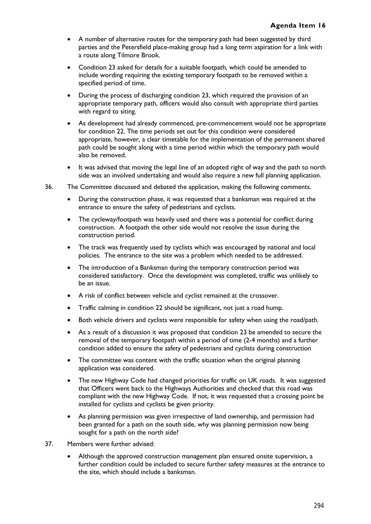- A number of alternative routes for the temporary path had been suggested by third parties and the Petersfield place-making group had a long term aspiration for a link with a route along Tilmore Brook.
- Condition 23 asked for details for a suitable footpath, which could be amended to include wording requiring the existing temporary footpath to be removed within a specified period of time.
- During the process of discharging condition 23, which required the provision of an appropriate temporary path, officers would also consult with appropriate third parties with regard to siting.
- As development had already commenced, pre-commencement would not be appropriate for condition 22. The time periods set out for this condition were considered appropriate, however, a clear timetable for the implementation of the permanent shared path could be sought along with a time period within which the temporary path would also be removed.
- It was advised that moving the legal line of an adopted right of way and the path to north side was an involved undertaking and would also require a new full planning application.
- 36. The Committee discussed and debated the application, making the following comments.
	- During the construction phase, it was requested that a banksman was required at the entrance to ensure the safety of pedestrians and cyclists.
	- The cycleway/footpath was heavily used and there was a potential for conflict during construction. A footpath the other side would not resolve the issue during the construction period.
	- The track was frequently used by cyclists which was encouraged by national and local policies. The entrance to the site was a problem which needed to be addressed.
	- The introduction of a Banksman during the temporary construction period was considered satisfactory. Once the development was completed, traffic was unlikely to be an issue.
	- A risk of conflict between vehicle and cyclist remained at the crossover.
	- Traffic calming in condition 22 should be significant, not just a road hump.
	- Both vehicle drivers and cyclists were responsible for safety when using the road/path.
	- As a result of a discussion it was proposed that condition 23 be amended to secure the removal of the temporary footpath within a period of time (2-4 months) and a further condition added to ensure the safety of pedestrians and cyclists during construction
	- The committee was content with the traffic situation when the original planning application was considered.
	- The new Highway Code had changed priorities for traffic on UK roads. It was suggested that Officers went back to the Highways Authorities and checked that this road was compliant with the new Highway Code. If not, it was requested that a crossing point be installed for cyclists and cyclists be given priority.
	- As planning permission was given irrespective of land ownership, and permission had been granted for a path on the south side, why was planning permission now being sought for a path on the north side?
- 37. Members were further advised:
	- Although the approved construction management plan ensured onsite supervision, a further condition could be included to secure further safety measures at the entrance to the site, which should include a banksman.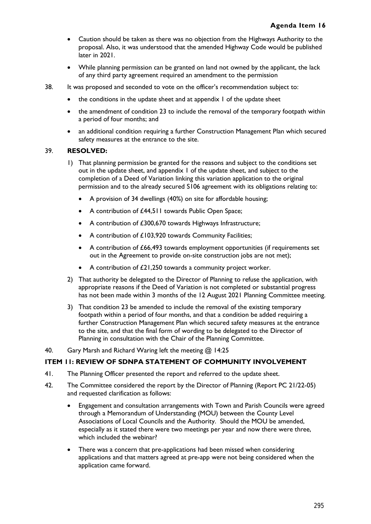- Caution should be taken as there was no objection from the Highways Authority to the proposal. Also, it was understood that the amended Highway Code would be published later in 2021.
- While planning permission can be granted on land not owned by the applicant, the lack of any third party agreement required an amendment to the permission
- 38. It was proposed and seconded to vote on the officer's recommendation subject to:
	- the conditions in the update sheet and at appendix 1 of the update sheet
	- the amendment of condition 23 to include the removal of the temporary footpath within a period of four months; and
	- an additional condition requiring a further Construction Management Plan which secured safety measures at the entrance to the site.

### 39. **RESOLVED:**

- 1) That planning permission be granted for the reasons and subject to the conditions set out in the update sheet, and appendix 1 of the update sheet, and subject to the completion of a Deed of Variation linking this variation application to the original permission and to the already secured S106 agreement with its obligations relating to:
	- A provision of 34 dwellings (40%) on site for affordable housing;
	- A contribution of £44,511 towards Public Open Space;
	- A contribution of £300,670 towards Highways Infrastructure;
	- A contribution of £103,920 towards Community Facilities;
	- A contribution of £66,493 towards employment opportunities (if requirements set out in the Agreement to provide on-site construction jobs are not met);
	- A contribution of £21,250 towards a community project worker.
- 2) That authority be delegated to the Director of Planning to refuse the application, with appropriate reasons if the Deed of Variation is not completed or substantial progress has not been made within 3 months of the 12 August 2021 Planning Committee meeting.
- 3) That condition 23 be amended to include the removal of the existing temporary footpath within a period of four months, and that a condition be added requiring a further Construction Management Plan which secured safety measures at the entrance to the site, and that the final form of wording to be delegated to the Director of Planning in consultation with the Chair of the Planning Committee.
- 40. Gary Marsh and Richard Waring left the meeting @ 14:25

### **ITEM 11: REVIEW OF SDNPA STATEMENT OF COMMUNITY INVOLVEMENT**

- 41. The Planning Officer presented the report and referred to the update sheet.
- 42. The Committee considered the report by the Director of Planning (Report PC 21/22-05) and requested clarification as follows:
	- Engagement and consultation arrangements with Town and Parish Councils were agreed through a Memorandum of Understanding (MOU) between the County Level Associations of Local Councils and the Authority. Should the MOU be amended, especially as it stated there were two meetings per year and now there were three, which included the webinar?
	- There was a concern that pre-applications had been missed when considering applications and that matters agreed at pre-app were not being considered when the application came forward.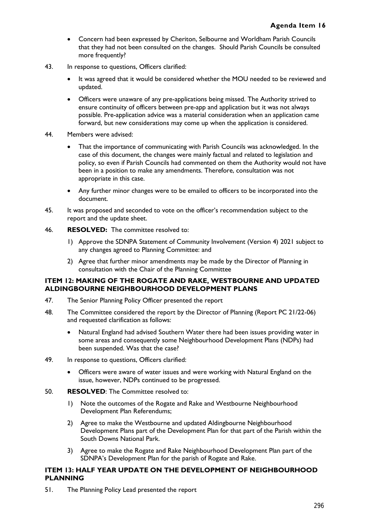- Concern had been expressed by Cheriton, Selbourne and Worldham Parish Councils that they had not been consulted on the changes. Should Parish Councils be consulted more frequently?
- 43. In response to questions, Officers clarified:
	- It was agreed that it would be considered whether the MOU needed to be reviewed and updated.
	- Officers were unaware of any pre-applications being missed. The Authority strived to ensure continuity of officers between pre-app and application but it was not always possible. Pre-application advice was a material consideration when an application came forward, but new considerations may come up when the application is considered.
- 44. Members were advised:
	- That the importance of communicating with Parish Councils was acknowledged. In the case of this document, the changes were mainly factual and related to legislation and policy, so even if Parish Councils had commented on them the Authority would not have been in a position to make any amendments. Therefore, consultation was not appropriate in this case.
	- Any further minor changes were to be emailed to officers to be incorporated into the document.
- 45. It was proposed and seconded to vote on the officer's recommendation subject to the report and the update sheet.
- 46. **RESOLVED:** The committee resolved to:
	- 1) Approve the SDNPA Statement of Community Involvement (Version 4) 2021 subject to any changes agreed to Planning Committee: and
	- 2) Agree that further minor amendments may be made by the Director of Planning in consultation with the Chair of the Planning Committee

### **ITEM 12: MAKING OF THE ROGATE AND RAKE, WESTBOURNE AND UPDATED ALDINGBOURNE NEIGHBOURHOOD DEVELOPMENT PLANS**

- 47. The Senior Planning Policy Officer presented the report
- 48. The Committee considered the report by the Director of Planning (Report PC 21/22-06) and requested clarification as follows:
	- Natural England had advised Southern Water there had been issues providing water in some areas and consequently some Neighbourhood Development Plans (NDPs) had been suspended. Was that the case?
- 49. In response to questions, Officers clarified:
	- Officers were aware of water issues and were working with Natural England on the issue, however, NDPs continued to be progressed.
- 50. **RESOLVED**: The Committee resolved to:
	- 1) Note the outcomes of the Rogate and Rake and Westbourne Neighbourhood Development Plan Referendums;
	- 2) Agree to make the Westbourne and updated Aldingbourne Neighbourhood Development Plans part of the Development Plan for that part of the Parish within the South Downs National Park.
	- 3) Agree to make the Rogate and Rake Neighbourhood Development Plan part of the SDNPA's Development Plan for the parish of Rogate and Rake.

### **ITEM 13: HALF YEAR UPDATE ON THE DEVELOPMENT OF NEIGHBOURHOOD PLANNING**

51. The Planning Policy Lead presented the report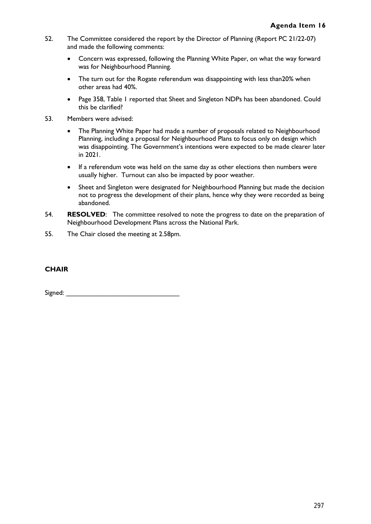- 52. The Committee considered the report by the Director of Planning (Report PC 21/22-07) and made the following comments:
	- Concern was expressed, following the Planning White Paper, on what the way forward was for Neighbourhood Planning.
	- The turn out for the Rogate referendum was disappointing with less than20% when other areas had 40%.
	- Page 358, Table 1 reported that Sheet and Singleton NDPs has been abandoned. Could this be clarified?
- 53. Members were advised:
	- The Planning White Paper had made a number of proposals related to Neighbourhood Planning, including a proposal for Neighbourhood Plans to focus only on design which was disappointing. The Government's intentions were expected to be made clearer later in 2021.
	- If a referendum vote was held on the same day as other elections then numbers were usually higher. Turnout can also be impacted by poor weather.
	- Sheet and Singleton were designated for Neighbourhood Planning but made the decision not to progress the development of their plans, hence why they were recorded as being abandoned.
- 54. **RESOLVED**: The committee resolved to note the progress to date on the preparation of Neighbourhood Development Plans across the National Park.
- 55. The Chair closed the meeting at 2.58pm.

# **CHAIR**

Signed:  $\Box$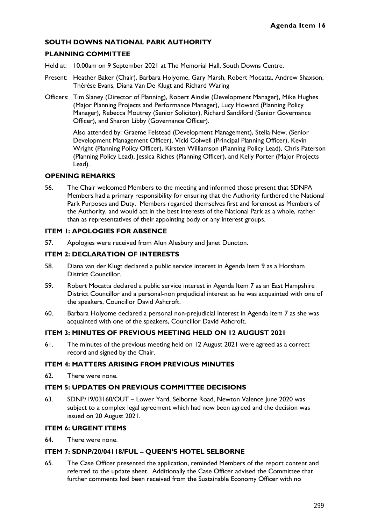### **SOUTH DOWNS NATIONAL PARK AUTHORITY**

### **PLANNING COMMITTEE**

- Held at: 10.00am on 9 September 2021 at The Memorial Hall, South Downs Centre.
- Present: Heather Baker (Chair), Barbara Holyome, Gary Marsh, Robert Mocatta, Andrew Shaxson, Thérèse Evans, Diana Van De Klugt and Richard Waring
- Officers: Tim Slaney (Director of Planning), Robert Ainslie (Development Manager), Mike Hughes (Major Planning Projects and Performance Manager), Lucy Howard (Planning Policy Manager), Rebecca Moutrey (Senior Solicitor), Richard Sandiford (Senior Governance Officer), and Sharon Libby (Governance Officer).

Also attended by: Graeme Felstead (Development Management), Stella New, (Senior Development Management Officer), Vicki Colwell (Principal Planning Officer), Kevin Wright (Planning Policy Officer), Kirsten Williamson (Planning Policy Lead), Chris Paterson (Planning Policy Lead), Jessica Riches (Planning Officer), and Kelly Porter (Major Projects Lead).

#### **OPENING REMARKS**

56. The Chair welcomed Members to the meeting and informed those present that SDNPA Members had a primary responsibility for ensuring that the Authority furthered the National Park Purposes and Duty. Members regarded themselves first and foremost as Members of the Authority, and would act in the best interests of the National Park as a whole, rather than as representatives of their appointing body or any interest groups.

### **ITEM 1: APOLOGIES FOR ABSENCE**

57. Apologies were received from Alun Alesbury and Janet Duncton.

#### **ITEM 2: DECLARATION OF INTERESTS**

- 58. Diana van der Klugt declared a public service interest in Agenda Item 9 as a Horsham District Councillor.
- 59. Robert Mocatta declared a public service interest in Agenda Item 7 as an East Hampshire District Councillor and a personal-non prejudicial interest as he was acquainted with one of the speakers, Councillor David Ashcroft.
- 60. Barbara Holyome declared a personal non-prejudicial interest in Agenda Item 7 as she was acquainted with one of the speakers, Councillor David Ashcroft.

# **ITEM 3: MINUTES OF PREVIOUS MEETING HELD ON 12 AUGUST 2021**

61. The minutes of the previous meeting held on 12 August 2021 were agreed as a correct record and signed by the Chair.

### **ITEM 4: MATTERS ARISING FROM PREVIOUS MINUTES**

62. There were none.

### **ITEM 5: UPDATES ON PREVIOUS COMMITTEE DECISIONS**

63. SDNP/19/03160/OUT – Lower Yard, Selborne Road, Newton Valence June 2020 was subject to a complex legal agreement which had now been agreed and the decision was issued on 20 August 2021.

#### **ITEM 6: URGENT ITEMS**

64. There were none.

#### **ITEM 7: SDNP/20/04118/FUL – QUEEN'S HOTEL SELBORNE**

65. The Case Officer presented the application, reminded Members of the report content and referred to the update sheet. Additionally the Case Officer advised the Committee that further comments had been received from the Sustainable Economy Officer with no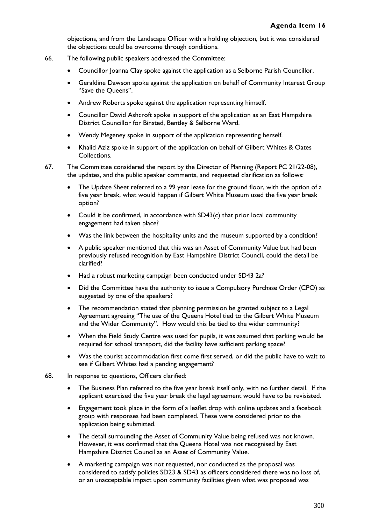objections, and from the Landscape Officer with a holding objection, but it was considered the objections could be overcome through conditions.

- 66. The following public speakers addressed the Committee:
	- Councillor Joanna Clay spoke against the application as a Selborne Parish Councillor.
	- Geraldine Dawson spoke against the application on behalf of Community Interest Group "Save the Queens".
	- Andrew Roberts spoke against the application representing himself.
	- Councillor David Ashcroft spoke in support of the application as an East Hampshire District Councillor for Binsted, Bentley & Selborne Ward.
	- Wendy Megeney spoke in support of the application representing herself.
	- Khalid Aziz spoke in support of the application on behalf of Gilbert Whites & Oates Collections.
- 67. The Committee considered the report by the Director of Planning (Report PC 21/22-08), the updates, and the public speaker comments, and requested clarification as follows:
	- The Update Sheet referred to a 99 year lease for the ground floor, with the option of a five year break, what would happen if Gilbert White Museum used the five year break option?
	- Could it be confirmed, in accordance with SD43(c) that prior local community engagement had taken place?
	- Was the link between the hospitality units and the museum supported by a condition?
	- A public speaker mentioned that this was an Asset of Community Value but had been previously refused recognition by East Hampshire District Council, could the detail be clarified?
	- Had a robust marketing campaign been conducted under SD43 2a?
	- Did the Committee have the authority to issue a Compulsory Purchase Order (CPO) as suggested by one of the speakers?
	- The recommendation stated that planning permission be granted subject to a Legal Agreement agreeing "The use of the Queens Hotel tied to the Gilbert White Museum and the Wider Community". How would this be tied to the wider community?
	- When the Field Study Centre was used for pupils, it was assumed that parking would be required for school transport, did the facility have sufficient parking space?
	- Was the tourist accommodation first come first served, or did the public have to wait to see if Gilbert Whites had a pending engagement?
- 68. In response to questions, Officers clarified:
	- The Business Plan referred to the five year break itself only, with no further detail. If the applicant exercised the five year break the legal agreement would have to be revisisted.
	- Engagement took place in the form of a leaflet drop with online updates and a facebook group with responses had been completed. These were considered prior to the application being submitted.
	- The detail surrounding the Asset of Community Value being refused was not known. However, it was confirmed that the Queens Hotel was not recognised by East Hampshire District Council as an Asset of Community Value.
	- A marketing campaign was not requested, nor conducted as the proposal was considered to satisfy policies SD23 & SD43 as officers considered there was no loss of, or an unacceptable impact upon community facilities given what was proposed was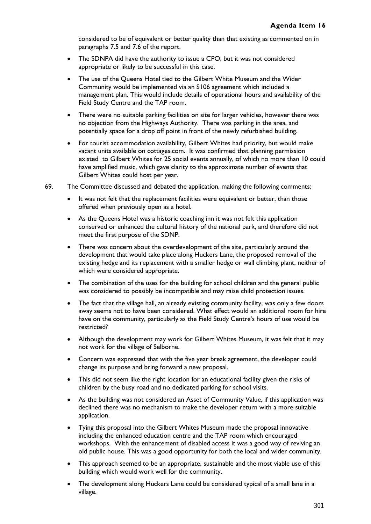considered to be of equivalent or better quality than that existing as commented on in paragraphs 7.5 and 7.6 of the report.

- The SDNPA did have the authority to issue a CPO, but it was not considered appropriate or likely to be successful in this case.
- The use of the Queens Hotel tied to the Gilbert White Museum and the Wider Community would be implemented via an S106 agreement which included a management plan. This would include details of operational hours and availability of the Field Study Centre and the TAP room.
- There were no suitable parking facilities on site for larger vehicles, however there was no objection from the Highways Authority. There was parking in the area, and potentially space for a drop off point in front of the newly refurbished building.
- For tourist accommodation availability, Gilbert Whites had priority, but would make vacant units available on cottages.com. It was confirmed that planning permission existed to Gilbert Whites for 25 social events annually, of which no more than 10 could have amplified music, which gave clarity to the approximate number of events that Gilbert Whites could host per year.
- 69. The Committee discussed and debated the application, making the following comments:
	- It was not felt that the replacement facilities were equivalent or better, than those offered when previously open as a hotel.
	- As the Queens Hotel was a historic coaching inn it was not felt this application conserved or enhanced the cultural history of the national park, and therefore did not meet the first purpose of the SDNP.
	- There was concern about the overdevelopment of the site, particularly around the development that would take place along Huckers Lane, the proposed removal of the existing hedge and its replacement with a smaller hedge or wall climbing plant, neither of which were considered appropriate.
	- The combination of the uses for the building for school children and the general public was considered to possibly be incompatible and may raise child protection issues.
	- The fact that the village hall, an already existing community facility, was only a few doors away seems not to have been considered. What effect would an additional room for hire have on the community, particularly as the Field Study Centre's hours of use would be restricted?
	- Although the development may work for Gilbert Whites Museum, it was felt that it may not work for the village of Selborne.
	- Concern was expressed that with the five year break agreement, the developer could change its purpose and bring forward a new proposal.
	- This did not seem like the right location for an educational facility given the risks of children by the busy road and no dedicated parking for school visits.
	- As the building was not considered an Asset of Community Value, if this application was declined there was no mechanism to make the developer return with a more suitable application.
	- Tying this proposal into the Gilbert Whites Museum made the proposal innovative including the enhanced education centre and the TAP room which encouraged workshops. With the enhancement of disabled access it was a good way of reviving an old public house. This was a good opportunity for both the local and wider community.
	- This approach seemed to be an appropriate, sustainable and the most viable use of this building which would work well for the community.
	- The development along Huckers Lane could be considered typical of a small lane in a village.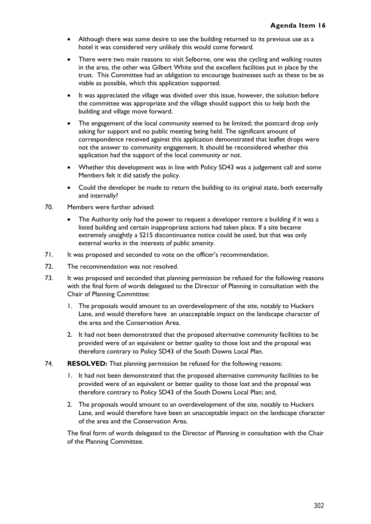- Although there was some desire to see the building returned to its previous use as a hotel it was considered very unlikely this would come forward.
- There were two main reasons to visit Selborne, one was the cycling and walking routes in the area, the other was Gilbert White and the excellent facilities put in place by the trust. This Committee had an obligation to encourage businesses such as these to be as viable as possible, which this application supported.
- It was appreciated the village was divided over this issue, however, the solution before the committee was appropriate and the village should support this to help both the building and village move forward.
- The engagement of the local community seemed to be limited; the postcard drop only asking for support and no public meeting being held. The significant amount of correspondence received against this application demonstrated that leaflet drops were not the answer to community engagement. It should be reconsidered whether this application had the support of the local community or not.
- Whether this development was in line with Policy SD43 was a judgement call and some Members felt it did satisfy the policy.
- Could the developer be made to return the building to its original state, both externally and internally?
- 70. Members were further advised:
	- The Authority only had the power to request a developer restore a building if it was a listed building and certain inappropriate actions had taken place. If a site became extremely unsightly a S215 discontinuance notice could be used, but that was only external works in the interests of public amenity.
- 71. It was proposed and seconded to vote on the officer's recommendation.
- 72. The recommendation was not resolved.
- 73. It was proposed and seconded that planning permission be refused for the following reasons with the final form of words delegated to the Director of Planning in consultation with the Chair of Planning Committee:
	- 1. The proposals would amount to an overdevelopment of the site, notably to Huckers Lane, and would therefore have an unacceptable impact on the landscape character of the area and the Conservation Area.
	- 2. It had not been demonstrated that the proposed alternative community facilities to be provided were of an equivalent or better quality to those lost and the proposal was therefore contrary to Policy SD43 of the South Downs Local Plan.
- 74. **RESOLVED:** That planning permission be refused for the following reasons:
	- It had not been demonstrated that the proposed alternative community facilities to be provided were of an equivalent or better quality to those lost and the proposal was therefore contrary to Policy SD43 of the South Downs Local Plan; and,
	- 2. The proposals would amount to an overdevelopment of the site, notably to Huckers Lane, and would therefore have been an unacceptable impact on the landscape character of the area and the Conservation Area.

The final form of words delegated to the Director of Planning in consultation with the Chair of the Planning Committee.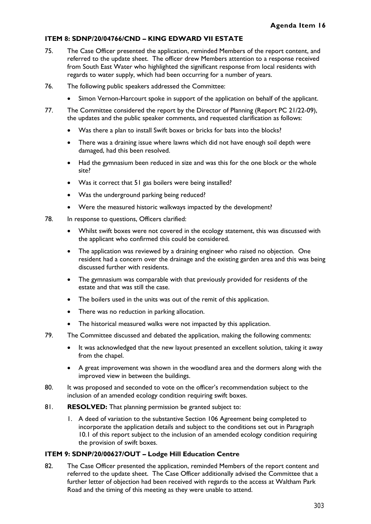### **ITEM 8: SDNP/20/04766/CND – KING EDWARD VII ESTATE**

- 75. The Case Officer presented the application, reminded Members of the report content, and referred to the update sheet. The officer drew Members attention to a response received from South East Water who highlighted the significant response from local residents with regards to water supply, which had been occurring for a number of years.
- 76. The following public speakers addressed the Committee:
	- Simon Vernon-Harcourt spoke in support of the application on behalf of the applicant.
- 77. The Committee considered the report by the Director of Planning (Report PC 21/22-09), the updates and the public speaker comments, and requested clarification as follows:
	- Was there a plan to install Swift boxes or bricks for bats into the blocks?
	- There was a draining issue where lawns which did not have enough soil depth were damaged, had this been resolved.
	- Had the gymnasium been reduced in size and was this for the one block or the whole site?
	- Was it correct that 51 gas boilers were being installed?
	- Was the underground parking being reduced?
	- Were the measured historic walkways impacted by the development?
- 78. In response to questions, Officers clarified:
	- Whilst swift boxes were not covered in the ecology statement, this was discussed with the applicant who confirmed this could be considered.
	- The application was reviewed by a draining engineer who raised no objection. One resident had a concern over the drainage and the existing garden area and this was being discussed further with residents.
	- The gymnasium was comparable with that previously provided for residents of the estate and that was still the case.
	- The boilers used in the units was out of the remit of this application.
	- There was no reduction in parking allocation.
	- The historical measured walks were not impacted by this application.
- 79. The Committee discussed and debated the application, making the following comments:
	- It was acknowledged that the new layout presented an excellent solution, taking it away from the chapel.
	- A great improvement was shown in the woodland area and the dormers along with the improved view in between the buildings.
- 80. It was proposed and seconded to vote on the officer's recommendation subject to the inclusion of an amended ecology condition requiring swift boxes.
- 81. **RESOLVED:** That planning permission be granted subject to:
	- 1. A deed of variation to the substantive Section 106 Agreement being completed to incorporate the application details and subject to the conditions set out in Paragraph 10.1 of this report subject to the inclusion of an amended ecology condition requiring the provision of swift boxes.

### **ITEM 9: SDNP/20/00627/OUT – Lodge Hill Education Centre**

82. The Case Officer presented the application, reminded Members of the report content and referred to the update sheet. The Case Officer additionally advised the Committee that a further letter of objection had been received with regards to the access at Waltham Park Road and the timing of this meeting as they were unable to attend.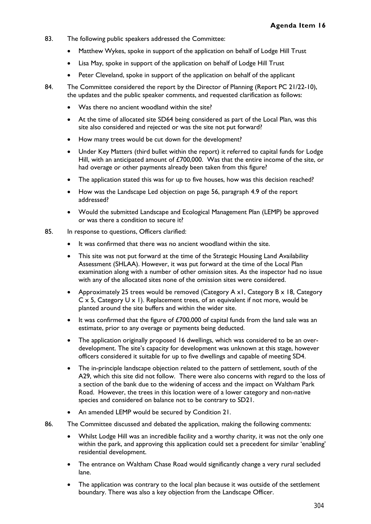- 83. The following public speakers addressed the Committee:
	- Matthew Wykes, spoke in support of the application on behalf of Lodge Hill Trust
	- Lisa May, spoke in support of the application on behalf of Lodge Hill Trust
	- Peter Cleveland, spoke in support of the application on behalf of the applicant
- 84. The Committee considered the report by the Director of Planning (Report PC 21/22-10), the updates and the public speaker comments, and requested clarification as follows:
	- Was there no ancient woodland within the site?
	- At the time of allocated site SD64 being considered as part of the Local Plan, was this site also considered and rejected or was the site not put forward?
	- How many trees would be cut down for the development?
	- Under Key Matters (third bullet within the report) it referred to capital funds for Lodge Hill, with an anticipated amount of £700,000. Was that the entire income of the site, or had overage or other payments already been taken from this figure?
	- The application stated this was for up to five houses, how was this decision reached?
	- How was the Landscape Led objection on page 56, paragraph 4.9 of the report addressed?
	- Would the submitted Landscape and Ecological Management Plan (LEMP) be approved or was there a condition to secure it?
- 85. In response to questions, Officers clarified:
	- It was confirmed that there was no ancient woodland within the site.
	- This site was not put forward at the time of the Strategic Housing Land Availability Assessment (SHLAA). However, it was put forward at the time of the Local Plan examination along with a number of other omission sites. As the inspector had no issue with any of the allocated sites none of the omission sites were considered.
	- Approximately 25 trees would be removed (Category A x1, Category B x 18, Category  $C \times 5$ , Category U  $\times$  1). Replacement trees, of an equivalent if not more, would be planted around the site buffers and within the wider site.
	- It was confirmed that the figure of £700,000 of capital funds from the land sale was an estimate, prior to any overage or payments being deducted.
	- The application originally proposed 16 dwellings, which was considered to be an overdevelopment. The site's capacity for development was unknown at this stage, however officers considered it suitable for up to five dwellings and capable of meeting SD4.
	- The in-principle landscape objection related to the pattern of settlement, south of the A29, which this site did not follow. There were also concerns with regard to the loss of a section of the bank due to the widening of access and the impact on Waltham Park Road. However, the trees in this location were of a lower category and non-native species and considered on balance not to be contrary to SD21.
	- An amended LEMP would be secured by Condition 21.
- 86. The Committee discussed and debated the application, making the following comments:
	- Whilst Lodge Hill was an incredible facility and a worthy charity, it was not the only one within the park, and approving this application could set a precedent for similar 'enabling' residential development.
	- The entrance on Waltham Chase Road would significantly change a very rural secluded lane.
	- The application was contrary to the local plan because it was outside of the settlement boundary. There was also a key objection from the Landscape Officer.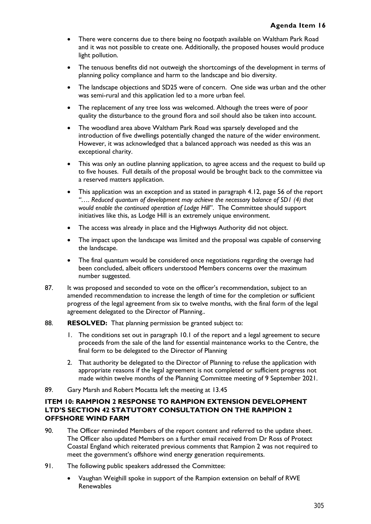- There were concerns due to there being no footpath available on Waltham Park Road and it was not possible to create one. Additionally, the proposed houses would produce light pollution.
- The tenuous benefits did not outweigh the shortcomings of the development in terms of planning policy compliance and harm to the landscape and bio diversity.
- The landscape objections and SD25 were of concern. One side was urban and the other was semi-rural and this application led to a more urban feel.
- The replacement of any tree loss was welcomed. Although the trees were of poor quality the disturbance to the ground flora and soil should also be taken into account.
- The woodland area above Waltham Park Road was sparsely developed and the introduction of five dwellings potentially changed the nature of the wider environment. However, it was acknowledged that a balanced approach was needed as this was an exceptional charity.
- This was only an outline planning application, to agree access and the request to build up to five houses. Full details of the proposal would be brought back to the committee via a reserved matters application.
- This application was an exception and as stated in paragraph 4.12, page 56 of the report *"…. Reduced quantum of development may achieve the necessary balance of SD1 (4) that would enable the continued operation of Lodge Hill*". The Committee should support initiatives like this, as Lodge Hill is an extremely unique environment.
- The access was already in place and the Highways Authority did not object.
- The impact upon the landscape was limited and the proposal was capable of conserving the landscape.
- The final quantum would be considered once negotiations regarding the overage had been concluded, albeit officers understood Members concerns over the maximum number suggested.
- 87. It was proposed and seconded to vote on the officer's recommendation, subject to an amended recommendation to increase the length of time for the completion or sufficient progress of the legal agreement from six to twelve months, with the final form of the legal agreement delegated to the Director of Planning..
- 88. **RESOLVED:** That planning permission be granted subject to:
	- 1. The conditions set out in paragraph 10.1 of the report and a legal agreement to secure proceeds from the sale of the land for essential maintenance works to the Centre, the final form to be delegated to the Director of Planning
	- 2. That authority be delegated to the Director of Planning to refuse the application with appropriate reasons if the legal agreement is not completed or sufficient progress not made within twelve months of the Planning Committee meeting of 9 September 2021.
- 89. Gary Marsh and Robert Mocatta left the meeting at 13.45

## **ITEM 10: RAMPION 2 RESPONSE TO RAMPION EXTENSION DEVELOPMENT LTD'S SECTION 42 STATUTORY CONSULTATION ON THE RAMPION 2 OFFSHORE WIND FARM**

- 90. The Officer reminded Members of the report content and referred to the update sheet. The Officer also updated Members on a further email received from Dr Ross of Protect Coastal England which reiterated previous comments that Rampion 2 was not required to meet the government's offshore wind energy generation requirements.
- 91. The following public speakers addressed the Committee:
	- Vaughan Weighill spoke in support of the Rampion extension on behalf of RWE Renewables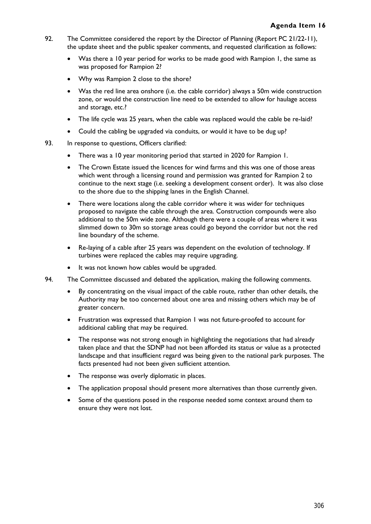- 92. The Committee considered the report by the Director of Planning (Report PC 21/22-11), the update sheet and the public speaker comments, and requested clarification as follows:
	- Was there a 10 year period for works to be made good with Rampion 1, the same as was proposed for Rampion 2?
	- Why was Rampion 2 close to the shore?
	- Was the red line area onshore (i.e. the cable corridor) always a 50m wide construction zone, or would the construction line need to be extended to allow for haulage access and storage, etc.?
	- The life cycle was 25 years, when the cable was replaced would the cable be re-laid?
	- Could the cabling be upgraded via conduits, or would it have to be dug up?
- 93. In response to questions, Officers clarified:
	- There was a 10 year monitoring period that started in 2020 for Rampion 1.
	- The Crown Estate issued the licences for wind farms and this was one of those areas which went through a licensing round and permission was granted for Rampion 2 to continue to the next stage (i.e. seeking a development consent order). It was also close to the shore due to the shipping lanes in the English Channel.
	- There were locations along the cable corridor where it was wider for techniques proposed to navigate the cable through the area. Construction compounds were also additional to the 50m wide zone. Although there were a couple of areas where it was slimmed down to 30m so storage areas could go beyond the corridor but not the red line boundary of the scheme.
	- Re-laying of a cable after 25 years was dependent on the evolution of technology. If turbines were replaced the cables may require upgrading.
	- It was not known how cables would be upgraded.
- 94. The Committee discussed and debated the application, making the following comments.
	- By concentrating on the visual impact of the cable route, rather than other details, the Authority may be too concerned about one area and missing others which may be of greater concern.
	- Frustration was expressed that Rampion 1 was not future-proofed to account for additional cabling that may be required.
	- The response was not strong enough in highlighting the negotiations that had already taken place and that the SDNP had not been afforded its status or value as a protected landscape and that insufficient regard was being given to the national park purposes. The facts presented had not been given sufficient attention.
	- The response was overly diplomatic in places.
	- The application proposal should present more alternatives than those currently given.
	- Some of the questions posed in the response needed some context around them to ensure they were not lost.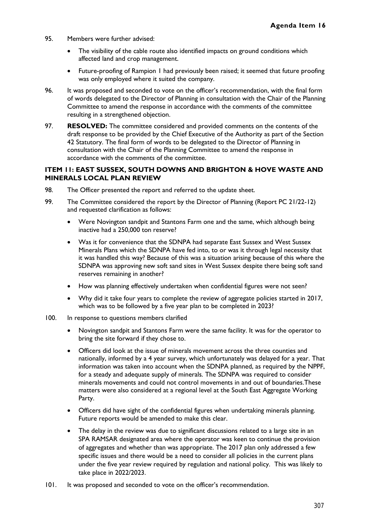- 95. Members were further advised:
	- The visibility of the cable route also identified impacts on ground conditions which affected land and crop management.
	- Future-proofing of Rampion 1 had previously been raised; it seemed that future proofing was only employed where it suited the company.
- 96. It was proposed and seconded to vote on the officer's recommendation, with the final form of words delegated to the Director of Planning in consultation with the Chair of the Planning Committee to amend the response in accordance with the comments of the committee resulting in a strengthened objection.
- 97. **RESOLVED:** The committee considered and provided comments on the contents of the draft response to be provided by the Chief Executive of the Authority as part of the Section 42 Statutory. The final form of words to be delegated to the Director of Planning in consultation with the Chair of the Planning Committee to amend the response in accordance with the comments of the committee.

### **ITEM 11: EAST SUSSEX, SOUTH DOWNS AND BRIGHTON & HOVE WASTE AND MINERALS LOCAL PLAN REVIEW**

- 98. The Officer presented the report and referred to the update sheet.
- 99. The Committee considered the report by the Director of Planning (Report PC 21/22-12) and requested clarification as follows:
	- Were Novington sandpit and Stantons Farm one and the same, which although being inactive had a 250,000 ton reserve?
	- Was it for convenience that the SDNPA had separate East Sussex and West Sussex Minerals Plans which the SDNPA have fed into, to or was it through legal necessity that it was handled this way? Because of this was a situation arising because of this where the SDNPA was approving new soft sand sites in West Sussex despite there being soft sand reserves remaining in another?
	- How was planning effectively undertaken when confidential figures were not seen?
	- Why did it take four years to complete the review of aggregate policies started in 2017, which was to be followed by a five year plan to be completed in 2023?
- 100. In response to questions members clarified
	- Novington sandpit and Stantons Farm were the same facility. It was for the operator to bring the site forward if they chose to.
	- Officers did look at the issue of minerals movement across the three counties and nationally, informed by a 4 year survey, which unfortunately was delayed for a year. That information was taken into account when the SDNPA planned, as required by the NPPF, for a steady and adequate supply of minerals. The SDNPA was required to consider minerals movements and could not control movements in and out of boundaries.These matters were also considered at a regional level at the South East Aggregate Working Party.
	- Officers did have sight of the confidential figures when undertaking minerals planning. Future reports would be amended to make this clear.
	- The delay in the review was due to significant discussions related to a large site in an SPA RAMSAR designated area where the operator was keen to continue the provision of aggregates and whether than was appropriate. The 2017 plan only addressed a few specific issues and there would be a need to consider all policies in the current plans under the five year review required by regulation and national policy. This was likely to take place in 2022/2023.
- 101. It was proposed and seconded to vote on the officer's recommendation.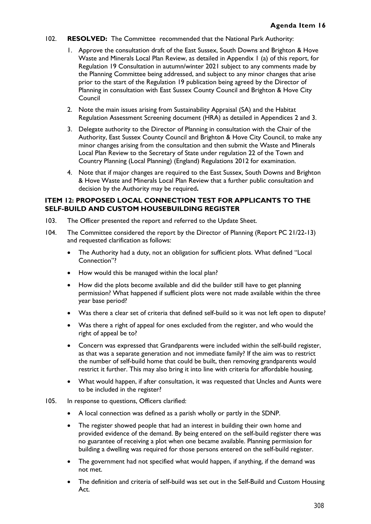- 102. **RESOLVED:** The Committee recommended that the National Park Authority:
	- 1. Approve the consultation draft of the East Sussex, South Downs and Brighton & Hove Waste and Minerals Local Plan Review, as detailed in Appendix 1 (a) of this report, for Regulation 19 Consultation in autumn/winter 2021 subject to any comments made by the Planning Committee being addressed, and subject to any minor changes that arise prior to the start of the Regulation 19 publication being agreed by the Director of Planning in consultation with East Sussex County Council and Brighton & Hove City Council
	- 2. Note the main issues arising from Sustainability Appraisal (SA) and the Habitat Regulation Assessment Screening document (HRA) as detailed in Appendices 2 and 3.
	- 3. Delegate authority to the Director of Planning in consultation with the Chair of the Authority, East Sussex County Council and Brighton & Hove City Council, to make any minor changes arising from the consultation and then submit the Waste and Minerals Local Plan Review to the Secretary of State under regulation 22 of the Town and Country Planning (Local Planning) (England) Regulations 2012 for examination.
	- 4. Note that if major changes are required to the East Sussex, South Downs and Brighton & Hove Waste and Minerals Local Plan Review that a further public consultation and decision by the Authority may be required**.**

### **ITEM 12: PROPOSED LOCAL CONNECTION TEST FOR APPLICANTS TO THE SELF-BUILD AND CUSTOM HOUSEBUILDING REGISTER**

- 103. The Officer presented the report and referred to the Update Sheet.
- 104. The Committee considered the report by the Director of Planning (Report PC 21/22-13) and requested clarification as follows:
	- The Authority had a duty, not an obligation for sufficient plots. What defined "Local Connection"?
	- How would this be managed within the local plan?
	- How did the plots become available and did the builder still have to get planning permission? What happened if sufficient plots were not made available within the three year base period?
	- Was there a clear set of criteria that defined self-build so it was not left open to dispute?
	- Was there a right of appeal for ones excluded from the register, and who would the right of appeal be to?
	- Concern was expressed that Grandparents were included within the self-build register, as that was a separate generation and not immediate family? If the aim was to restrict the number of self-build home that could be built, then removing grandparents would restrict it further. This may also bring it into line with criteria for affordable housing.
	- What would happen, if after consultation, it was requested that Uncles and Aunts were to be included in the register?
- 105. In response to questions, Officers clarified:
	- A local connection was defined as a parish wholly or partly in the SDNP.
	- The register showed people that had an interest in building their own home and provided evidence of the demand. By being entered on the self-build register there was no guarantee of receiving a plot when one became available. Planning permission for building a dwelling was required for those persons entered on the self-build register.
	- The government had not specified what would happen, if anything, if the demand was not met.
	- The definition and criteria of self-build was set out in the Self-Build and Custom Housing Act.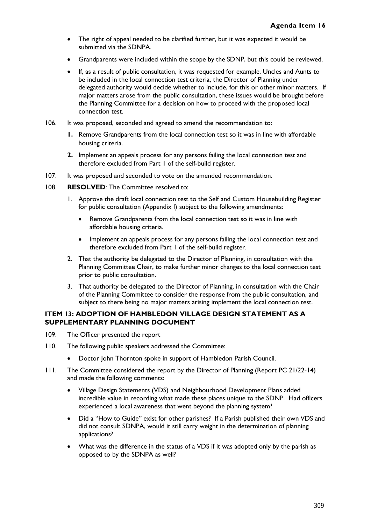- The right of appeal needed to be clarified further, but it was expected it would be submitted via the SDNPA.
- Grandparents were included within the scope by the SDNP, but this could be reviewed.
- If, as a result of public consultation, it was requested for example, Uncles and Aunts to be included in the local connection test criteria, the Director of Planning under delegated authority would decide whether to include, for this or other minor matters. If major matters arose from the public consultation, these issues would be brought before the Planning Committee for a decision on how to proceed with the proposed local connection test.
- 106. It was proposed, seconded and agreed to amend the recommendation to:
	- **1.** Remove Grandparents from the local connection test so it was in line with affordable housing criteria.
	- **2.** Implement an appeals process for any persons failing the local connection test and therefore excluded from Part 1 of the self-build register.
- 107. It was proposed and seconded to vote on the amended recommendation.
- 108. **RESOLVED**: The Committee resolved to:
	- 1. Approve the draft local connection test to the Self and Custom Housebuilding Register for public consultation (Appendix I) subject to the following amendments:
		- Remove Grandparents from the local connection test so it was in line with affordable housing criteria.
		- Implement an appeals process for any persons failing the local connection test and therefore excluded from Part 1 of the self-build register.
	- 2. That the authority be delegated to the Director of Planning, in consultation with the Planning Committee Chair, to make further minor changes to the local connection test prior to public consultation.
	- 3. That authority be delegated to the Director of Planning, in consultation with the Chair of the Planning Committee to consider the response from the public consultation, and subject to there being no major matters arising implement the local connection test.

### **ITEM 13: ADOPTION OF HAMBLEDON VILLAGE DESIGN STATEMENT AS A SUPPLEMENTARY PLANNING DOCUMENT**

- 109. The Officer presented the report
- 110. The following public speakers addressed the Committee:
	- Doctor John Thornton spoke in support of Hambledon Parish Council.
- 111. The Committee considered the report by the Director of Planning (Report PC 21/22-14) and made the following comments:
	- Village Design Statements (VDS) and Neighbourhood Development Plans added incredible value in recording what made these places unique to the SDNP. Had officers experienced a local awareness that went beyond the planning system?
	- Did a "How to Guide" exist for other parishes? If a Parish published their own VDS and did not consult SDNPA, would it still carry weight in the determination of planning applications?
	- What was the difference in the status of a VDS if it was adopted only by the parish as opposed to by the SDNPA as well?